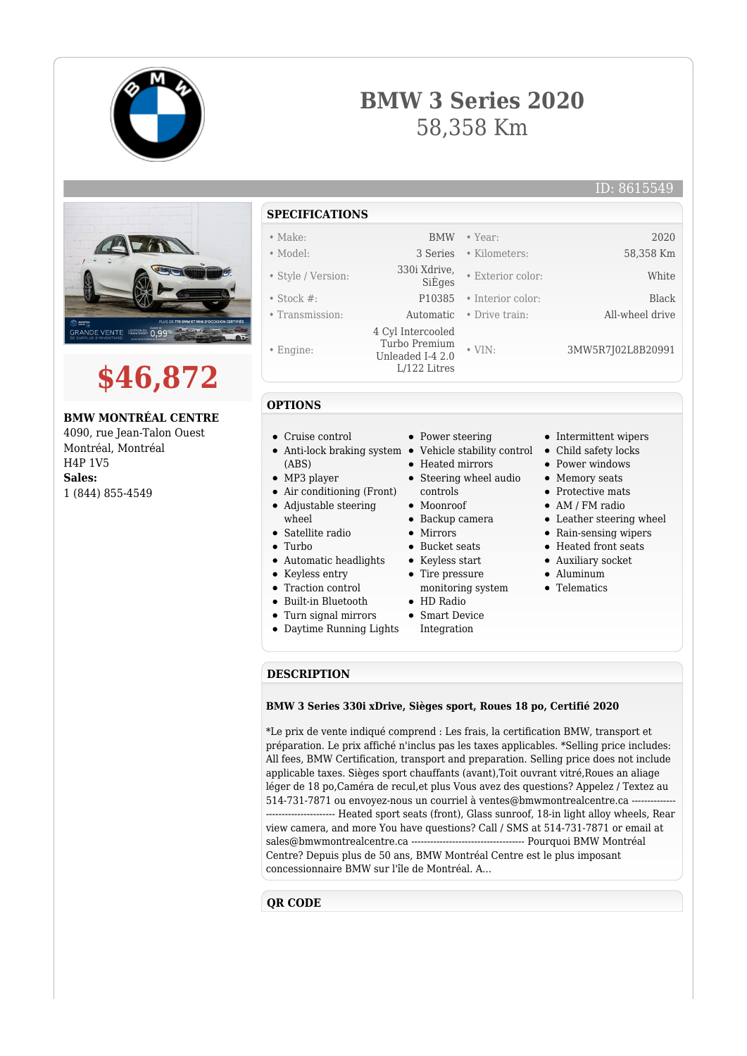

## **BMW 3 Series 2020** 58,358 Km

ID: 8615549





**BMW MONTRÉAL CENTRE**

4090, rue Jean-Talon Ouest Montréal, Montréal H4P 1V5 **Sales:** 1 (844) 855-4549

## **SPECIFICATIONS**

- Make: BMW Year: 2020
- Model: 3 Series Kilometers: 58,358 Km
- Style / Version: 330i Xdrive,
- Stock #: P10385 Interior color: Black
- Transmission: Automatic Drive train: All-wheel drive
- Engine:
- 
- 
- **OPTIONS**
- Cruise control
- Anti-lock braking system Vehicle stability control Child safety locks
- (ABS)
- MP3 player
- Air conditioning (Front)
- Adjustable steering wheel
	-
- Turbo
- Automatic headlights
- Keyless entry
- 
- 
- 
- 
- 
- HD Radio
- Smart Device
- Integration
- Intermittent wipers
- 
- Power windows

• Exterior color: White

• VIN: 3MW5R7J02L8B20991

- Memory seats
- Protective mats
- AM / FM radio
- Leather steering wheel
- Rain-sensing wipers
- Heated front seats
- Auxiliary socket
- Aluminum
- Telematics

**DESCRIPTION**

## **BMW 3 Series 330i xDrive, Sièges sport, Roues 18 po, Certifié 2020**

\*Le prix de vente indiqué comprend : Les frais, la certification BMW, transport et préparation. Le prix affiché n'inclus pas les taxes applicables. \*Selling price includes: All fees, BMW Certification, transport and preparation. Selling price does not include applicable taxes. Sièges sport chauffants (avant),Toit ouvrant vitré,Roues an aliage léger de 18 po,Caméra de recul,et plus Vous avez des questions? Appelez / Textez au 514-731-7871 ou envoyez-nous un courriel à ventes@bmwmontrealcentre.ca ------------------------- Heated sport seats (front), Glass sunroof, 18-in light alloy wheels, Rear view camera, and more You have questions? Call / SMS at 514-731-7871 or email at sales@bmwmontrealcentre.ca ------------------------------------ Pourquoi BMW Montréal Centre? Depuis plus de 50 ans, BMW Montréal Centre est le plus imposant concessionnaire BMW sur l'île de Montréal. A...

## **QR CODE**

- Satellite radio
- 
- 
- Traction control
- Built-in Bluetooth
- Turn signal mirrors
- Daytime Running Lights
- Heated mirrors • Steering wheel audio controls
- Moonroof

• Power steering

- Backup camera
- $\bullet$  Mirrors
- -

 4 Cyl Intercooled Turbo Premium Unleaded I-4 2.0 L/122 Litres

- Tire pressure
	-
	-
	-
- 
- 
- 
- Bucket seats
- Keyless start
	- monitoring system
	-